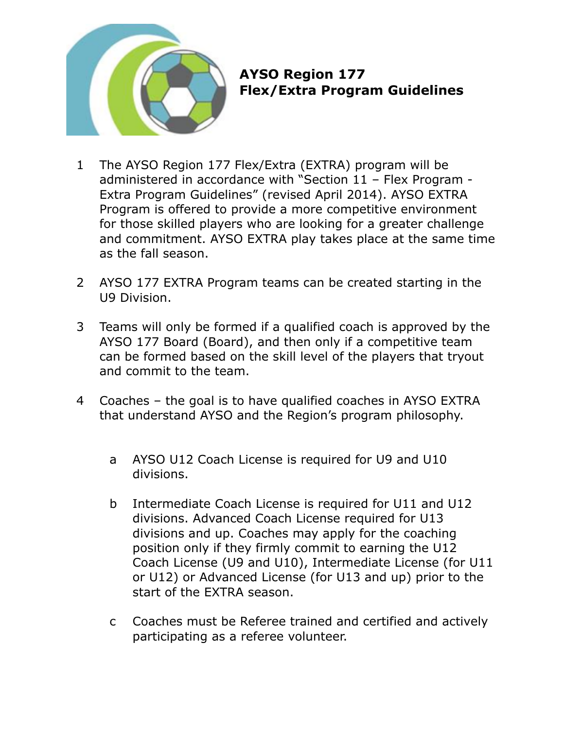

## **AYSO Region 177 Flex/Extra Program Guidelines**

- 1 The AYSO Region 177 Flex/Extra (EXTRA) program will be administered in accordance with "Section 11 – Flex Program - Extra Program Guidelines" (revised April 2014). AYSO EXTRA Program is offered to provide a more competitive environment for those skilled players who are looking for a greater challenge and commitment. AYSO EXTRA play takes place at the same time as the fall season.
- 2 AYSO 177 EXTRA Program teams can be created starting in the U9 Division.
- 3 Teams will only be formed if a qualified coach is approved by the AYSO 177 Board (Board), and then only if a competitive team can be formed based on the skill level of the players that tryout and commit to the team.
- 4 Coaches the goal is to have qualified coaches in AYSO EXTRA that understand AYSO and the Region's program philosophy.
	- a AYSO U12 Coach License is required for U9 and U10 divisions.
	- b Intermediate Coach License is required for U11 and U12 divisions. Advanced Coach License required for U13 divisions and up. Coaches may apply for the coaching position only if they firmly commit to earning the U12 Coach License (U9 and U10), Intermediate License (for U11 or U12) or Advanced License (for U13 and up) prior to the start of the EXTRA season.
	- c Coaches must be Referee trained and certified and actively participating as a referee volunteer.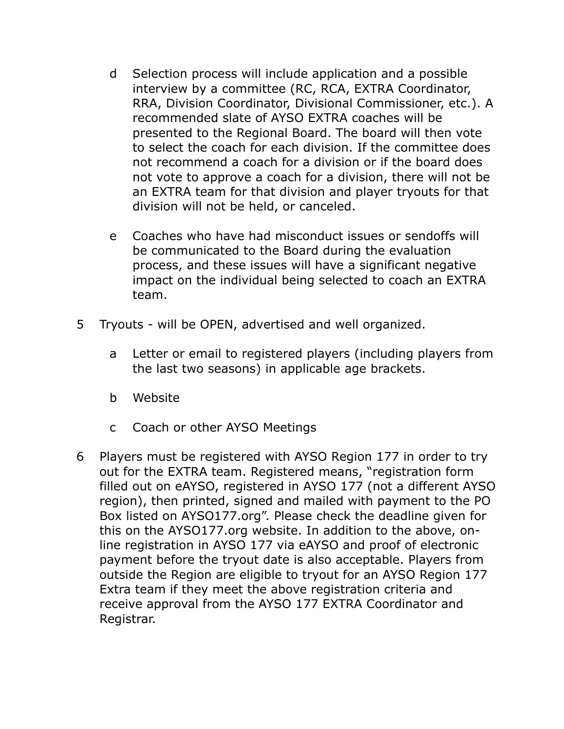- d Selection process will include application and a possible interview by a committee (RC, RCA, EXTRA Coordinator, RRA, Division Coordinator, Divisional Commissioner, etc.). A recommended slate of AYSO EXTRA coaches will be presented to the Regional Board. The board will then vote to select the coach for each division. If the committee does not recommend a coach for a division or if the board does not vote to approve a coach for a division, there will not be an EXTRA team for that division and player tryouts for that division will not be held, or canceled.
- e Coaches who have had misconduct issues or sendoffs will be communicated to the Board during the evaluation process, and these issues will have a significant negative impact on the individual being selected to coach an EXTRA team.
- 5 Tryouts will be OPEN, advertised and well organized.
	- a Letter or email to registered players (including players from the last two seasons) in applicable age brackets.
	- b Website
	- c Coach or other AYSO Meetings
- 6 Players must be registered with AYSO Region 177 in order to try out for the EXTRA team. Registered means, "registration form filled out on eAYSO, registered in AYSO 177 (not a different AYSO region), then printed, signed and mailed with payment to the PO Box listed on AYSO177.org". Please check the deadline given for this on the AYSO177.org website. In addition to the above, online registration in AYSO 177 via eAYSO and proof of electronic payment before the tryout date is also acceptable. Players from outside the Region are eligible to tryout for an AYSO Region 177 Extra team if they meet the above registration criteria and receive approval from the AYSO 177 EXTRA Coordinator and Registrar.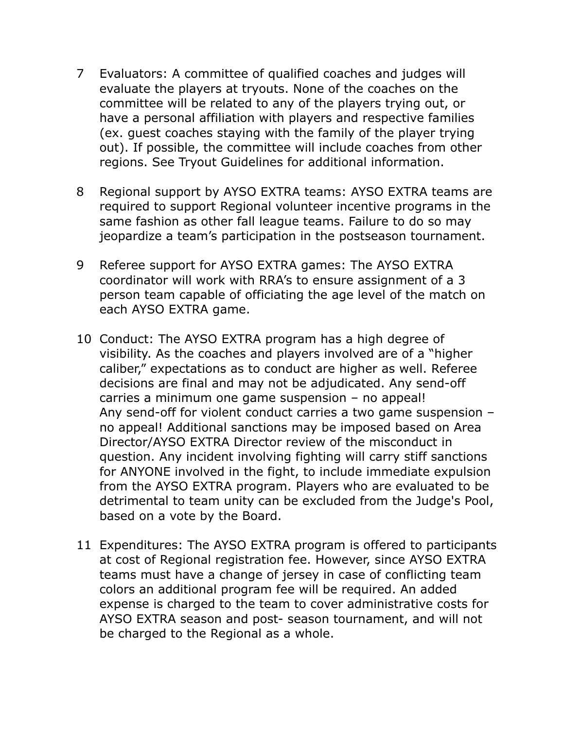- 7 Evaluators: A committee of qualified coaches and judges will evaluate the players at tryouts. None of the coaches on the committee will be related to any of the players trying out, or have a personal affiliation with players and respective families (ex. guest coaches staying with the family of the player trying out). If possible, the committee will include coaches from other regions. See Tryout Guidelines for additional information.
- 8 Regional support by AYSO EXTRA teams: AYSO EXTRA teams are required to support Regional volunteer incentive programs in the same fashion as other fall league teams. Failure to do so may jeopardize a team's participation in the postseason tournament.
- 9 Referee support for AYSO EXTRA games: The AYSO EXTRA coordinator will work with RRA's to ensure assignment of a 3 person team capable of officiating the age level of the match on each AYSO EXTRA game.
- 10 Conduct: The AYSO EXTRA program has a high degree of visibility. As the coaches and players involved are of a "higher caliber," expectations as to conduct are higher as well. Referee decisions are final and may not be adjudicated. Any send-off carries a minimum one game suspension – no appeal! Any send-off for violent conduct carries a two game suspension – no appeal! Additional sanctions may be imposed based on Area Director/AYSO EXTRA Director review of the misconduct in question. Any incident involving fighting will carry stiff sanctions for ANYONE involved in the fight, to include immediate expulsion from the AYSO EXTRA program. Players who are evaluated to be detrimental to team unity can be excluded from the Judge's Pool, based on a vote by the Board.
- 11 Expenditures: The AYSO EXTRA program is offered to participants at cost of Regional registration fee. However, since AYSO EXTRA teams must have a change of jersey in case of conflicting team colors an additional program fee will be required. An added expense is charged to the team to cover administrative costs for AYSO EXTRA season and post- season tournament, and will not be charged to the Regional as a whole.